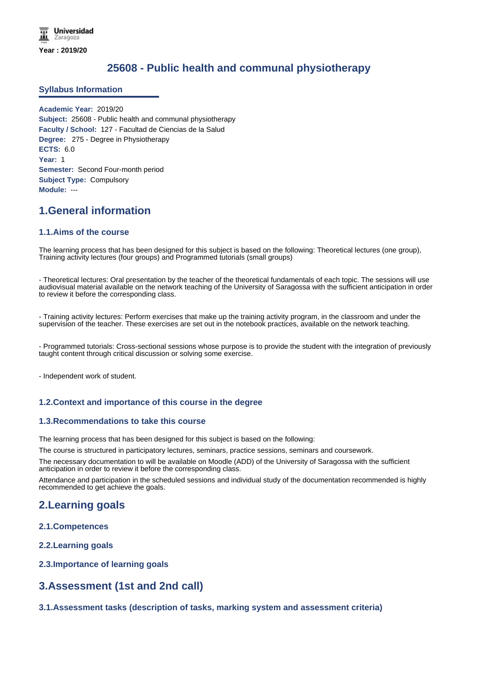# **25608 - Public health and communal physiotherapy**

### **Syllabus Information**

**Academic Year:** 2019/20 **Subject:** 25608 - Public health and communal physiotherapy **Faculty / School:** 127 - Facultad de Ciencias de la Salud **Degree:** 275 - Degree in Physiotherapy **ECTS:** 6.0 **Year:** 1 **Semester:** Second Four-month period **Subject Type:** Compulsory **Module:** ---

## **1.General information**

### **1.1.Aims of the course**

The learning process that has been designed for this subject is based on the following: Theoretical lectures (one group), Training activity lectures (four groups) and Programmed tutorials (small groups)

- Theoretical lectures: Oral presentation by the teacher of the theoretical fundamentals of each topic. The sessions will use audiovisual material available on the network teaching of the University of Saragossa with the sufficient anticipation in order to review it before the corresponding class.

- Training activity lectures: Perform exercises that make up the training activity program, in the classroom and under the supervision of the teacher. These exercises are set out in the notebook practices, available on the network teaching.

- Programmed tutorials: Cross-sectional sessions whose purpose is to provide the student with the integration of previously taught content through critical discussion or solving some exercise.

- Independent work of student.

## **1.2.Context and importance of this course in the degree**

#### **1.3.Recommendations to take this course**

The learning process that has been designed for this subject is based on the following:

The course is structured in participatory lectures, seminars, practice sessions, seminars and coursework.

The necessary documentation to will be available on Moodle (ADD) of the University of Saragossa with the sufficient anticipation in order to review it before the corresponding class.

Attendance and participation in the scheduled sessions and individual study of the documentation recommended is highly recommended to get achieve the goals.

## **2.Learning goals**

- **2.1.Competences**
- **2.2.Learning goals**
- **2.3.Importance of learning goals**

## **3.Assessment (1st and 2nd call)**

**3.1.Assessment tasks (description of tasks, marking system and assessment criteria)**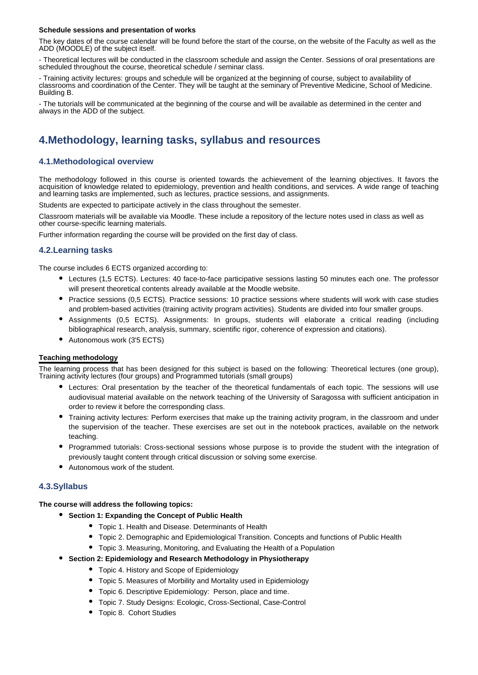#### **Schedule sessions and presentation of works**

The key dates of the course calendar will be found before the start of the course, on the website of the Faculty as well as the ADD (MOODLE) of the subject itself.

- Theoretical lectures will be conducted in the classroom schedule and assign the Center. Sessions of oral presentations are scheduled throughout the course, theoretical schedule / seminar class.

- Training activity lectures: groups and schedule will be organized at the beginning of course, subject to availability of classrooms and coordination of the Center. They will be taught at the seminary of Preventive Medicine, School of Medicine. Building B.

- The tutorials will be communicated at the beginning of the course and will be available as determined in the center and always in the ADD of the subject.

# **4.Methodology, learning tasks, syllabus and resources**

## **4.1.Methodological overview**

The methodology followed in this course is oriented towards the achievement of the learning objectives. It favors the acquisition of knowledge related to epidemiology, prevention and health conditions, and services. A wide range of teaching and learning tasks are implemented, such as lectures, practice sessions, and assignments.

Students are expected to participate actively in the class throughout the semester.

Classroom materials will be available via Moodle. These include a repository of the lecture notes used in class as well as other course-specific learning materials.

Further information regarding the course will be provided on the first day of class.

### **4.2.Learning tasks**

The course includes 6 ECTS organized according to:

- Lectures (1,5 ECTS). Lectures: 40 face-to-face participative sessions lasting 50 minutes each one. The professor will present theoretical contents already available at the Moodle website.
- Practice sessions (0,5 ECTS). Practice sessions: 10 practice sessions where students will work with case studies and problem-based activities (training activity program activities). Students are divided into four smaller groups.
- Assignments (0,5 ECTS). Assignments: In groups, students will elaborate a critical reading (including bibliographical research, analysis, summary, scientific rigor, coherence of expression and citations).
- Autonomous work (3'5 ECTS)

#### **Teaching methodology**

The learning process that has been designed for this subject is based on the following: Theoretical lectures (one group), Training activity lectures (four groups) and Programmed tutorials (small groups)

- Lectures: Oral presentation by the teacher of the theoretical fundamentals of each topic. The sessions will use audiovisual material available on the network teaching of the University of Saragossa with sufficient anticipation in order to review it before the corresponding class.
- Training activity lectures: Perform exercises that make up the training activity program, in the classroom and under the supervision of the teacher. These exercises are set out in the notebook practices, available on the network teaching.
- Programmed tutorials: Cross-sectional sessions whose purpose is to provide the student with the integration of previously taught content through critical discussion or solving some exercise.
- Autonomous work of the student.

## **4.3.Syllabus**

**The course will address the following topics:**

- **Section 1: Expanding the Concept of Public Health**
	- Topic 1. Health and Disease. Determinants of Health
	- Topic 2. Demographic and Epidemiological Transition. Concepts and functions of Public Health
	- Topic 3. Measuring, Monitoring, and Evaluating the Health of a Population

#### **Section 2: Epidemiology and Research Methodology in Physiotherapy**

- Topic 4. History and Scope of Epidemiology
- Topic 5. Measures of Morbility and Mortality used in Epidemiology
- Topic 6. Descriptive Epidemiology: Person, place and time.
- Topic 7. Study Designs: Ecologic, Cross-Sectional, Case-Control
- Topic 8. Cohort Studies